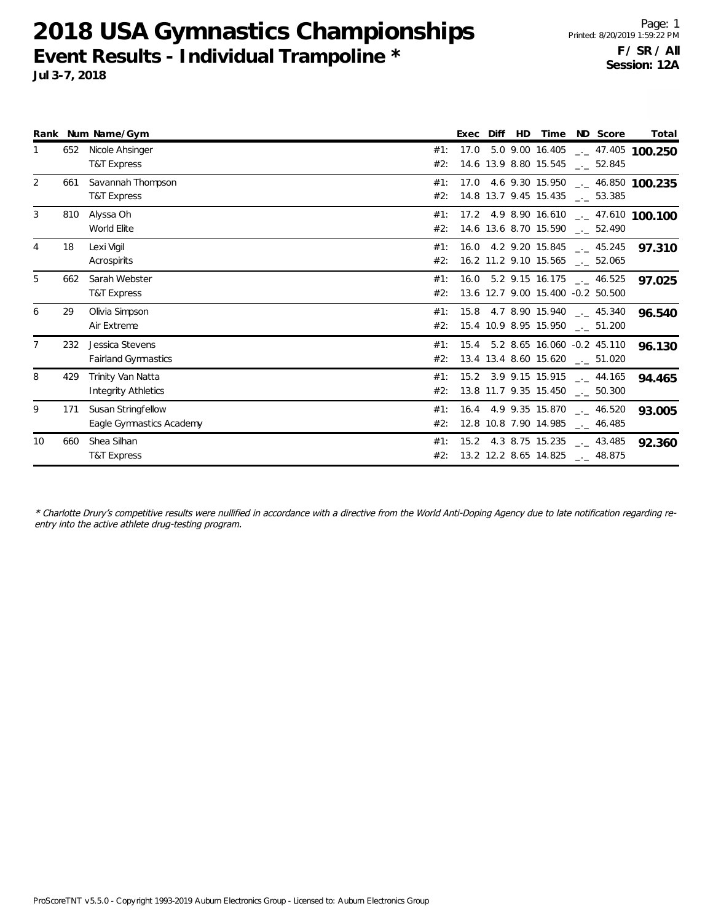**2018 USA Gymnastics Championships Event Results - Individual Trampoline \* Jul 3-7, 2018**

|                |     | Rank Num Name/Gym                              |            | Exec Diff | HD |                                                                                  | Time ND Score | Total                                 |
|----------------|-----|------------------------------------------------|------------|-----------|----|----------------------------------------------------------------------------------|---------------|---------------------------------------|
|                | 652 | Nicole Ahsinger<br>T&T Express                 | #1:<br>#2: |           |    | 14.6 13.9 8.80 15.545 __ 52.845                                                  |               | 17.0 5.0 9.00 16.405 - 47.405 100.250 |
| $\overline{2}$ | 661 | Savannah Thompson<br><b>T&amp;T Express</b>    | #1:<br>#2: |           |    | 14.8 13.7 9.45 15.435 __ 53.385                                                  |               | 17.0 4.6 9.30 15.950 - 46.850 100.235 |
| 3              | 810 | Alyssa Oh<br>World Elite                       | #1:<br>#2: |           |    | 14.6 13.6 8.70 15.590 __ 52.490                                                  |               | 17.2 4.9 8.90 16.610 - 47.610 100.100 |
| 4              | 18  | Lexi Vigil<br>Acrospirits                      | #1:<br>#2: |           |    | $16.0$ 4.2 9.20 15.845 $\text{---}$ 45.245<br>16.2 11.2 9.10 15.565 __ 52.065    |               | 97.310                                |
| 5              | 662 | Sarah Webster<br>T&T Express                   | #1:<br>#2: |           |    | $16.0$ 5.2 9.15 16.175 $\text{---}$ 46.525<br>13.6 12.7 9.00 15.400 -0.2 50.500  |               | 97.025                                |
| 6              | 29  | Olivia Simpson<br>Air Extreme                  | #1:<br>#2: |           |    | 15.8 4.7 8.90 15.940 45.340<br>15.4 10.9 8.95 15.950 __ 51.200                   |               | 96.540                                |
|                | 232 | Jessica Stevens<br><b>Fairland Gymnastics</b>  | #1:        |           |    | 15.4 5.2 8.65 16.060 -0.2 45.110<br>#2: 13.4 13.4 8.60 15.620 __ 51.020          |               | 96.130                                |
| 8              | 429 | Trinity Van Natta<br>Integrity Athletics       | #2:        |           |    | #1: 15.2 3.9 9.15 15.915 . 44.165<br>13.8 11.7 9.35 15.450 $\text{\_}2$ 50.300   |               | 94.465                                |
| 9              | 171 | Susan Stringfellow<br>Eagle Gymnastics Academy | #2:        |           |    | #1: 16.4 4.9 9.35 15.870 $\frac{1}{2}$ 46.520<br>12.8 10.8 7.90 14.985 __ 46.485 |               | 93.005                                |
| 10             | 660 | Shea Silhan<br>T&T Express                     | #2:        |           |    | #1: 15.2 4.3 8.75 15.235 $\text{---}$ 43.485<br>13.2 12.2 8.65 14.825 __ 48.875  |               | 92.360                                |

\* Charlotte Drury's competitive results were nullified in accordance with a directive from the World Anti-Doping Agency due to late notification regarding reentry into the active athlete drug-testing program.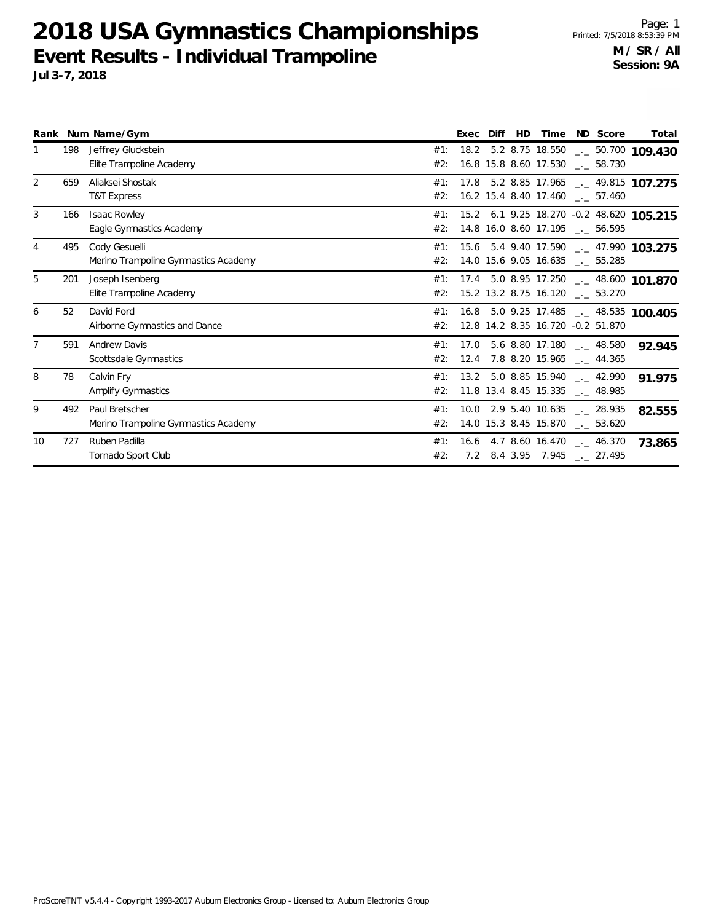**2018 USA Gymnastics Championships Event Results - Individual Trampoline Jul 3-7, 2018**

|    |     | Rank Num Name/Gym                                      |            | Exec Diff | HD. | Time ND Score                                                                              |  | Total                                    |
|----|-----|--------------------------------------------------------|------------|-----------|-----|--------------------------------------------------------------------------------------------|--|------------------------------------------|
|    | 198 | Jeffrey Gluckstein<br>Elite Trampoline Academy         | #1:<br>#2: |           |     | 16.8 15.8 8.60 17.530 . 58.730                                                             |  | 18.2 5.2 8.75 18.550 - 50.700 109.430    |
| 2  | 659 | Aliaksei Shostak<br><b>T&amp;T Express</b>             | #1:<br>#2: |           |     | 16.2 15.4 8.40 17.460 __ 57.460                                                            |  | 17.8 5.2 8.85 17.965 __ 49.815 107.275   |
| 3  | 166 | <b>Isaac Rowley</b><br>Eagle Gymnastics Academy        | #1:<br>#2: |           |     | 14.8 16.0 8.60 17.195 __ 56.595                                                            |  | 15.2 6.1 9.25 18.270 -0.2 48.620 105.215 |
| 4  | 495 | Cody Gesuelli<br>Merino Trampoline Gymnastics Academy  | #1:<br>#2: |           |     | 14.0 15.6 9.05 16.635 __ 55.285                                                            |  | 15.6 5.4 9.40 17.590 __ 47.990 103.275   |
| 5  | 201 | Joseph Isenberg<br>Elite Trampoline Academy            | #1:<br>#2: |           |     | 15.2 13.2 8.75 16.120 . 53.270                                                             |  | 17.4 5.0 8.95 17.250 - 48.600 101.870    |
| 6  | 52  | David Ford<br>Airborne Gymnastics and Dance            | #1:<br>#2: |           |     | 12.8 14.2 8.35 16.720 -0.2 51.870                                                          |  | 16.8 5.0 9.25 17.485 __ 48.535 100.405   |
|    | 591 | <b>Andrew Davis</b><br>Scottsdale Gymnastics           | #2:        |           |     | #1: 17.0 5.6 8.80 17.180 $\_\_$ 48.580<br>$12.4$ 7.8 8.20 15.965 $\_\_$ 44.365             |  | 92.945                                   |
| 8  | 78  | Calvin Fry<br>Amplify Gymnastics                       | #1:<br>#2: |           |     | 13.2 5.0 8.85 15.940 __ 42.990<br>11.8 13.4 8.45 15.335 $\qquad$ 48.985                    |  | 91.975                                   |
| 9  | 492 | Paul Bretscher<br>Merino Trampoline Gymnastics Academy | #1:<br>#2: |           |     | $10.0$ 2.9 5.40 10.635 $\text{-.}$ 28.935<br>14.0 15.3 8.45 15.870 $\qquad \qquad -53.620$ |  | 82.555                                   |
| 10 | 727 | Ruben Padilla<br>Tornado Sport Club                    | #1:<br>#2: |           |     | 16.6 4.7 8.60 16.470 $-$ 46.370<br>7.2 8.4 3.95 7.945 __ 27.495                            |  | 73.865                                   |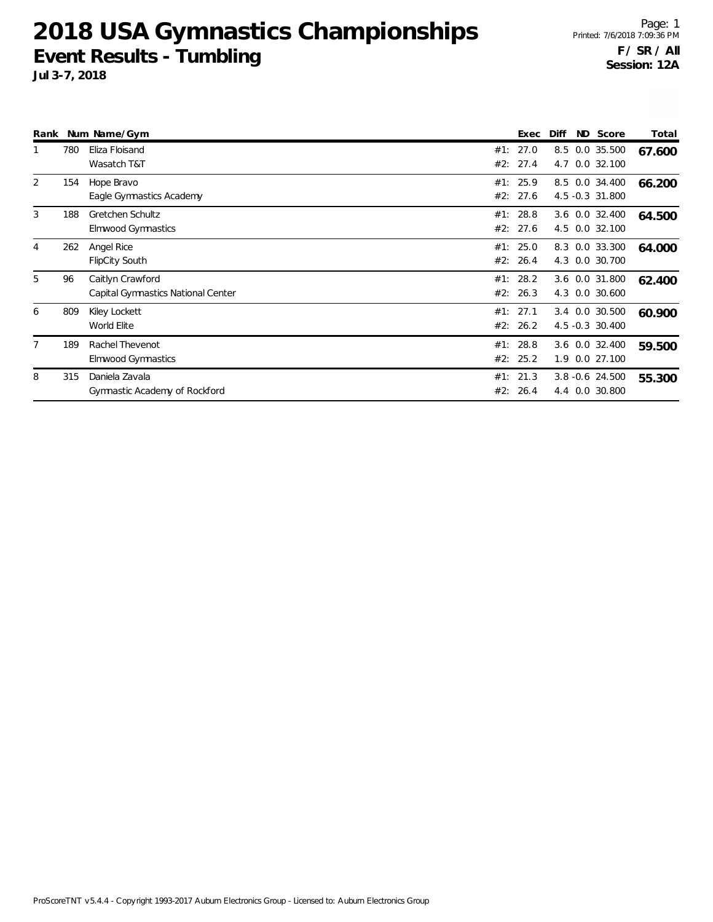**2018 USA Gymnastics Championships Event Results - Tumbling Jul 3-7, 2018**

Page: 1 Printed: 7/6/2018 7:09:36 PM **F / SR / All Session: 12A**

| JUI 3-7, 2010     |  |                    |       |
|-------------------|--|--------------------|-------|
|                   |  |                    |       |
|                   |  |                    |       |
|                   |  |                    |       |
| Rank Num Name/Gym |  | Exec Diff ND Score | Total |

|   |     | Ralin Will Natile/Oyll             | レスピレ     | וווש<br>ישוו | ouu e              | τυται  |
|---|-----|------------------------------------|----------|--------------|--------------------|--------|
|   | 780 | Eliza Floisand                     | #1: 27.0 |              | 8.5 0.0 35.500     | 67.600 |
|   |     | Wasatch T&T                        | #2: 27.4 | 4.7          | $0.0$ 32.100       |        |
| 2 | 154 | Hope Bravo                         | #1: 25.9 |              | 8.5 0.0 34.400     | 66.200 |
|   |     | Eagle Gymnastics Academy           | #2: 27.6 |              | 4.5 -0.3 31.800    |        |
| 3 | 188 | Gretchen Schultz                   | #1: 28.8 |              | 3.6 0.0 32.400     | 64.500 |
|   |     | Elmwood Gymnastics                 | #2: 27.6 |              | 4.5 0.0 32.100     |        |
| 4 | 262 | Angel Rice                         | #1: 25.0 |              | 8.3 0.0 33.300     | 64.000 |
|   |     | <b>FlipCity South</b>              | #2: 26.4 |              | 4.3 0.0 30.700     |        |
| 5 | 96  | Caitlyn Crawford                   | #1: 28.2 |              | 3.6 0.0 31.800     | 62.400 |
|   |     | Capital Gymnastics National Center | #2: 26.3 |              | 4.3 0.0 30.600     |        |
| 6 | 809 | Kiley Lockett                      | #1: 27.1 |              | 3.4 0.0 30.500     | 60.900 |
|   |     | World Elite                        | #2: 26.2 |              | 4.5 -0.3 30.400    |        |
| 7 | 189 | Rachel Thevenot                    | #1: 28.8 |              | 3.6 0.0 32.400     | 59.500 |
|   |     | Elmwood Gymnastics                 | #2: 25.2 |              | 1.9 0.0 27.100     |        |
| 8 | 315 | Daniela Zavala                     | #1: 21.3 |              | $3.8 - 0.6$ 24.500 | 55.300 |
|   |     | Gymnastic Academy of Rockford      | #2: 26.4 | 4.4          | 0.0 30.800         |        |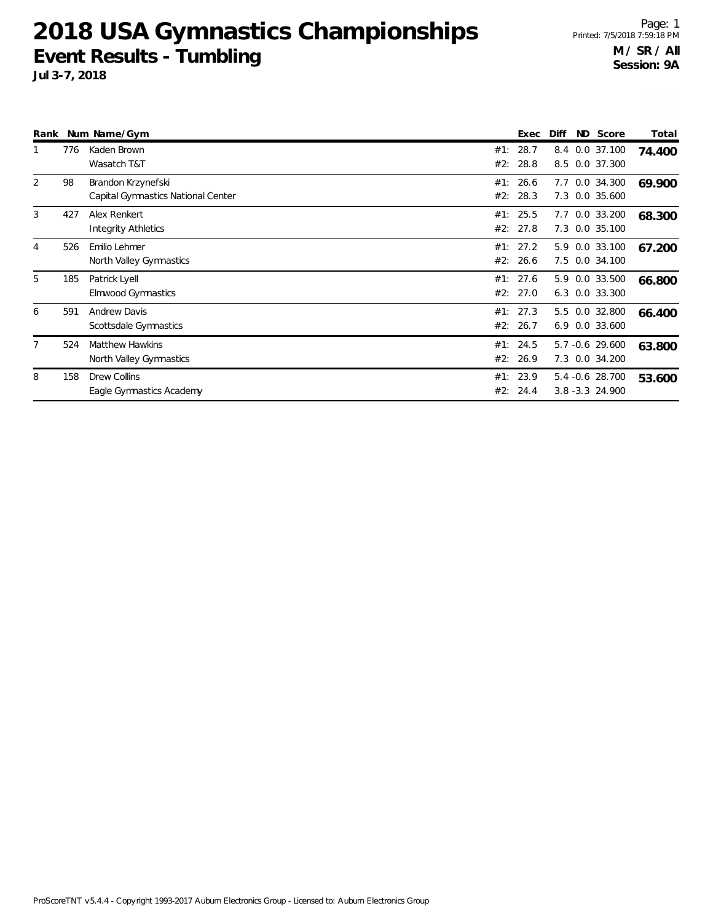**2018 USA Gymnastics Championships Event Results - Tumbling Jul 3-7, 2018**

Page: 1 Printed: 7/5/2018 7:59:18 PM **M / SR / All Session: 9A**

| 13-7, 2018 |  |  |  |
|------------|--|--|--|
|            |  |  |  |
|            |  |  |  |
|            |  |  |  |

| Rank |     | Num Name/Gym                                             |            | Exec                 | Diff<br>ND. | Score                               | Total  |
|------|-----|----------------------------------------------------------|------------|----------------------|-------------|-------------------------------------|--------|
|      | 776 | Kaden Brown<br>Wasatch T&T                               | #1:<br>#2: | 28.7<br>28.8         | 8.4         | 0.0 37.100<br>8.5 0.0 37.300        | 74.400 |
| 2    | 98  | Brandon Krzynefski<br>Capital Gymnastics National Center | #1:        | 26.6<br>#2: 28.3     | 7.7<br>7.3  | 0.0 34.300<br>0.0 35.600            | 69.900 |
| 3    | 427 | Alex Renkert<br><b>Integrity Athletics</b>               |            | #1: 25.5<br>#2: 27.8 | 7.7         | 0.0 33.200<br>7.3 0.0 35.100        | 68.300 |
| 4    | 526 | Emilio Lehmer<br>North Valley Gymnastics                 | #2:        | #1: 27.2<br>26.6     | 5.9<br>7.5  | 0.0 33.100<br>0.0 34.100            | 67.200 |
| 5    | 185 | Patrick Lyell<br><b>Elmwood Gymnastics</b>               | #1:<br>#2: | 27.6<br>27.0         | 5.9         | 0.0 33.500<br>6.3 0.0 33.300        | 66.800 |
| 6    | 591 | <b>Andrew Davis</b><br>Scottsdale Gymnastics             | #1:<br>#2: | 27.3<br>26.7         | 5.5<br>6.9  | 0.0 32.800<br>0.0 33.600            | 66.400 |
|      | 524 | <b>Matthew Hawkins</b><br>North Valley Gymnastics        |            | #1: 24.5<br>#2: 26.9 |             | 5.7 -0.6 29.600<br>7.3 0.0 34.200   | 63.800 |
| 8    | 158 | <b>Drew Collins</b><br>Eagle Gymnastics Academy          | #2:        | #1: 23.9<br>24.4     |             | 5.4 -0.6 28.700<br>3.8 - 3.3 24.900 | 53.600 |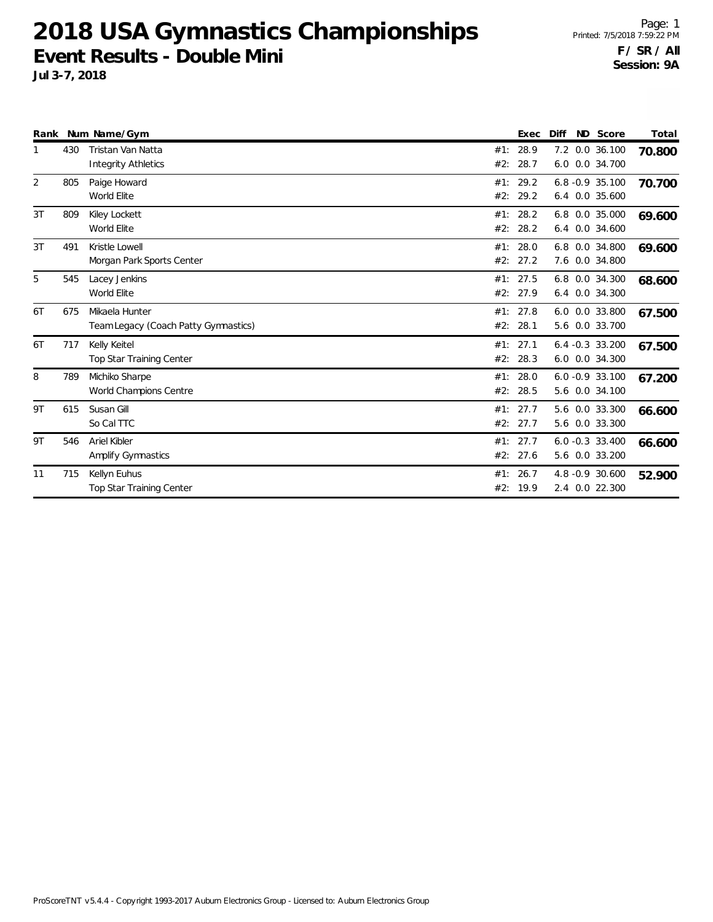**2018 USA Gymnastics Championships Event Results - Double Mini**

**Jul 3-7, 2018**

|    |     | Rank Num Name/Gym                                      |            | Exec             | Diff | ND Score                             | Total  |
|----|-----|--------------------------------------------------------|------------|------------------|------|--------------------------------------|--------|
| 1  | 430 | Tristan Van Natta<br><b>Integrity Athletics</b>        | #1:<br>#2: | 28.9<br>28.7     |      | 7.2 0.0 36.100<br>6.0 0.0 34.700     | 70.800 |
| 2  | 805 | Paige Howard<br>World Elite                            | #1:<br>#2: | 29.2<br>29.2     |      | $6.8 - 0.9$ 35.100<br>6.4 0.0 35.600 | 70.700 |
| 3T | 809 | Kiley Lockett<br>World Elite                           | #1:<br>#2: | 28.2<br>28.2     |      | 6.8 0.0 35.000<br>6.4 0.0 34.600     | 69.600 |
| 3T | 491 | Kristle Lowell<br>Morgan Park Sports Center            | #1:<br>#2: | 28.0<br>27.2     |      | 6.8 0.0 34.800<br>7.6 0.0 34.800     | 69.600 |
| 5  | 545 | Lacey Jenkins<br>World Elite                           | #1:<br>#2: | 27.5<br>27.9     |      | 6.8 0.0 34.300<br>6.4 0.0 34.300     | 68.600 |
| 6T | 675 | Mikaela Hunter<br>Team Legacy (Coach Patty Gymnastics) | #1:<br>#2: | 27.8<br>28.1     |      | 6.0 0.0 33.800<br>5.6 0.0 33.700     | 67.500 |
| 6T | 717 | Kelly Keitel<br>Top Star Training Center               | #2:        | #1: 27.1<br>28.3 |      | $6.4 -0.3$ 33.200<br>6.0 0.0 34.300  | 67.500 |
| 8  | 789 | Michiko Sharpe<br>World Champions Centre               | #1:<br>#2: | 28.0<br>28.5     |      | $6.0 -0.9 33.100$<br>5.6 0.0 34.100  | 67.200 |
| 9T | 615 | Susan Gill<br>So Cal TTC                               | #2:        | #1: 27.7<br>27.7 | 5.6  | 5.6 0.0 33.300<br>0.0 33.300         | 66.600 |
| 9T | 546 | Ariel Kibler<br><b>Amplify Gymnastics</b>              | #1:<br>#2: | 27.7<br>27.6     |      | $6.0 -0.3$ 33.400<br>5.6 0.0 33.200  | 66.600 |
| 11 | 715 | Kellyn Euhus<br>Top Star Training Center               | #1:<br>#2: | 26.7<br>19.9     |      | 4.8 -0.9 30.600<br>2.4 0.0 22.300    | 52.900 |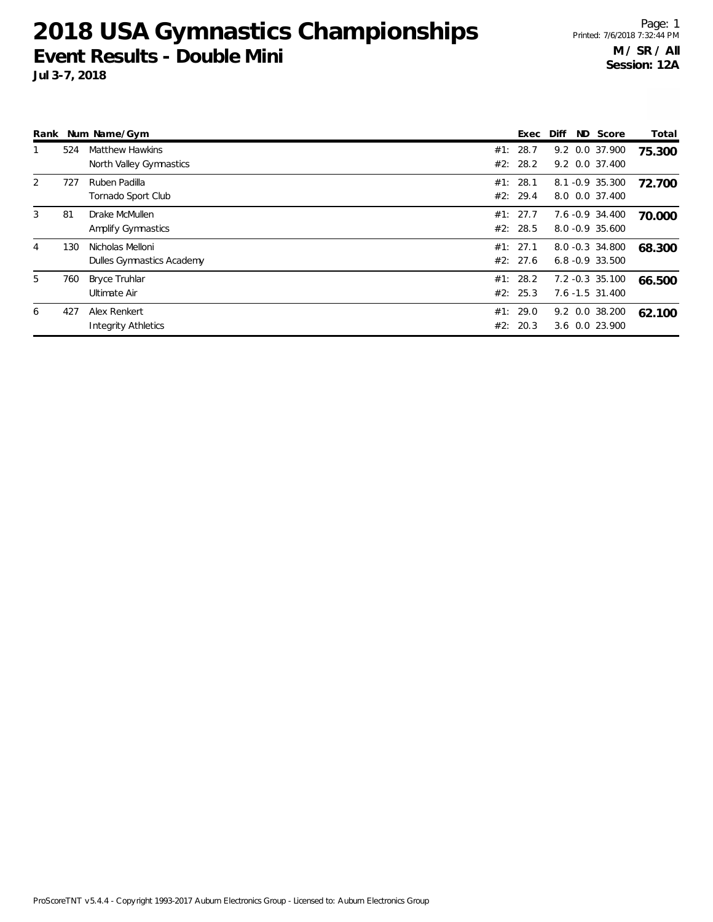## **2018 USA Gymnastics Championships Event Results - Double Mini**

**Jul 3-7, 2018**

| Rank |     | Num Name/Gym                                      | Exec                 | Diff | ND Score                              | Total  |
|------|-----|---------------------------------------------------|----------------------|------|---------------------------------------|--------|
|      | 524 | <b>Matthew Hawkins</b><br>North Valley Gymnastics | #1: 28.7<br>#2: 28.2 |      | 9.2 0.0 37.900<br>9.2 0.0 37.400      | 75.300 |
| 2    | 727 | Ruben Padilla<br>Tornado Sport Club               | #1: 28.1<br>#2: 29.4 |      | 8.1 -0.9 35.300<br>8.0 0.0 37.400     | 72.700 |
| 3    | 81  | Drake McMullen<br>Amplify Gymnastics              | #1: 27.7<br>#2: 28.5 |      | 7.6 -0.9 34.400<br>8.0 -0.9 35.600    | 70.000 |
| 4    | 130 | Nicholas Melloni<br>Dulles Gymnastics Academy     | #1: 27.1<br>#2: 27.6 |      | 8.0 -0.3 34.800<br>$6.8 - 0.9$ 33.500 | 68.300 |
| 5    | 760 | <b>Bryce Truhlar</b><br>Ultimate Air              | #1: 28.2<br>#2: 25.3 |      | 7.2 -0.3 35.100<br>7.6 -1.5 31.400    | 66.500 |
| 6    | 427 | Alex Renkert<br><b>Integrity Athletics</b>        | #1: 29.0<br>#2: 20.3 |      | 9.2 0.0 38.200<br>3.6 0.0 23.900      | 62.100 |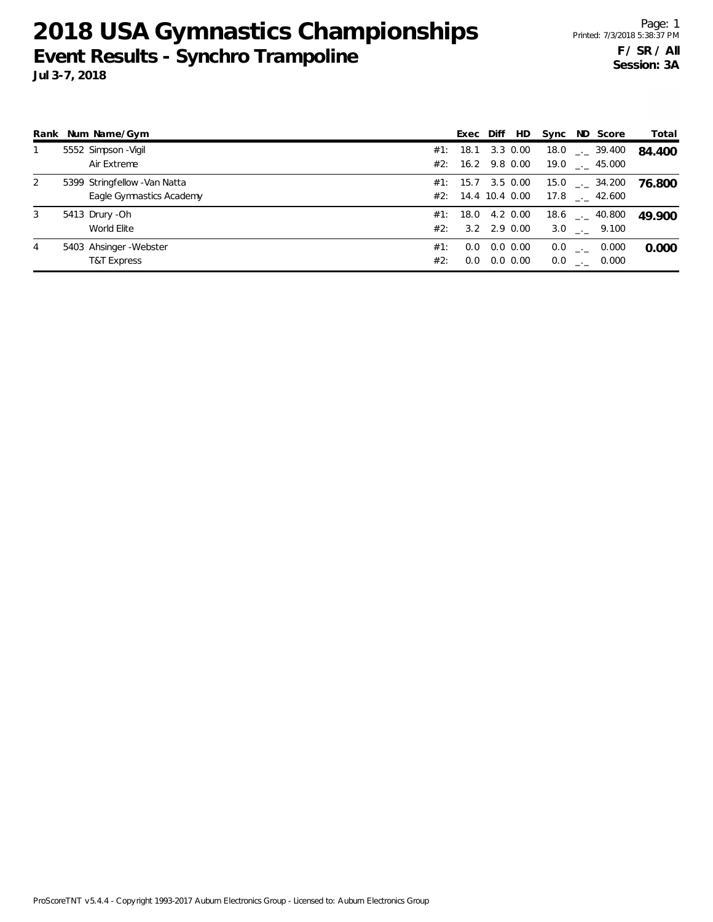**2018 USA Gymnastics Championships Event Results - Synchro Trampoline Jul 3-7, 2018**

|   | Rank Num Name/Gym             |     | Exec                  | Diff             | HD | Sync ND Score                 | Total  |
|---|-------------------------------|-----|-----------------------|------------------|----|-------------------------------|--------|
|   | 5552 Simpson - Vigil          |     | #1: 18.1              | 3.3 0.00         |    | $18.0$ $_{-}$ 39.400          | 84.400 |
|   | Air Extreme                   |     | #2: 16.2 9.8 0.00     |                  |    | $19.0$ _._ 45.000             |        |
| 2 | 5399 Stringfellow - Van Natta |     | #1: 15.7 3.5 0.00     |                  |    | $15.0$ $_{\leftarrow}$ 34.200 | 76.800 |
|   | Eagle Gymnastics Academy      |     | $#2$ : 14.4 10.4 0.00 |                  |    | $17.8$ $_{\dots}$ 42.600      |        |
| 3 | 5413 Drury - Oh               | #1: |                       | 18.0 4.2 0.00    |    | $18.6$ $_{\sim}$ 40.800       | 49.900 |
|   | World Elite                   | #2: |                       | $3.2$ $2.9$ 0.00 |    | $3.0$ . $9.100$               |        |
| 4 | 5403 Ahsinger-Webster         | #1: | 0.0                   | $0.0\,0.00$      |    | $0.0$ _ $-$<br>0.000          | 0.000  |
|   | <b>T&amp;T Express</b>        | #2: | 0.0                   | $0.0\,0.00$      |    | $0.0$ _._ 0.000               |        |